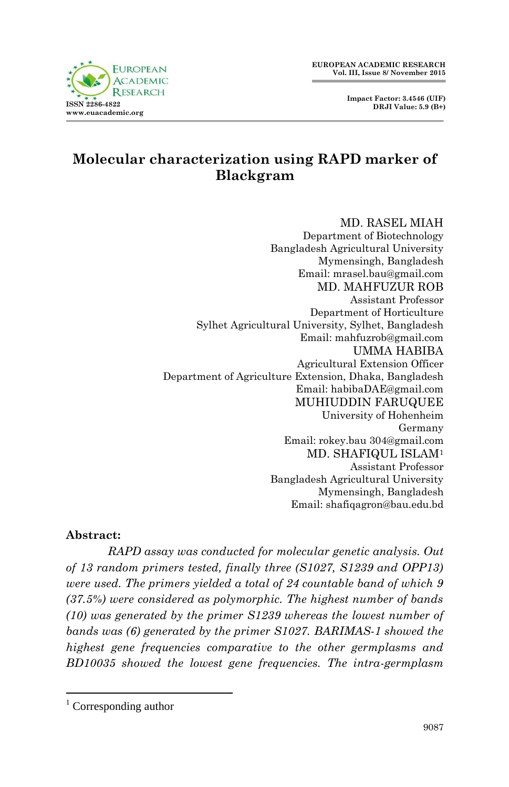**Impact Factor: 3.4546 (UIF) DRJI Value: 5.9 (B+)**



# **Molecular characterization using RAPD marker of Blackgram**

#### MD. RASEL MIAH Department of Biotechnology Bangladesh Agricultural University Mymensingh, Bangladesh Email: mrasel.bau@gmail.com MD. MAHFUZUR ROB Assistant Professor Department of Horticulture Sylhet Agricultural University, Sylhet, Bangladesh Email: mahfuzrob@gmail.com UMMA HABIBA Agricultural Extension Officer Department of Agriculture Extension, Dhaka, Bangladesh Email: habibaDAE@gmail.com MUHIUDDIN FARUQUEE University of Hohenheim Germany Email: rokey.bau 304@gmail.com MD. SHAFIQUL ISLAM<sup>1</sup> Assistant Professor Bangladesh Agricultural University Mymensingh, Bangladesh Email: shafiqagron@bau.edu.bd

#### **Abstract:**

*RAPD assay was conducted for molecular genetic analysis. Out of 13 random primers tested, finally three (S1027, S1239 and OPP13) were used. The primers yielded a total of 24 countable band of which 9 (37.5%) were considered as polymorphic. The highest number of bands (10) was generated by the primer S1239 whereas the lowest number of bands was (6) generated by the primer S1027. BARIMAS-1 showed the highest gene frequencies comparative to the other germplasms and BD10035 showed the lowest gene frequencies. The intra-germplasm* 

**.** 

 $1$  Corresponding author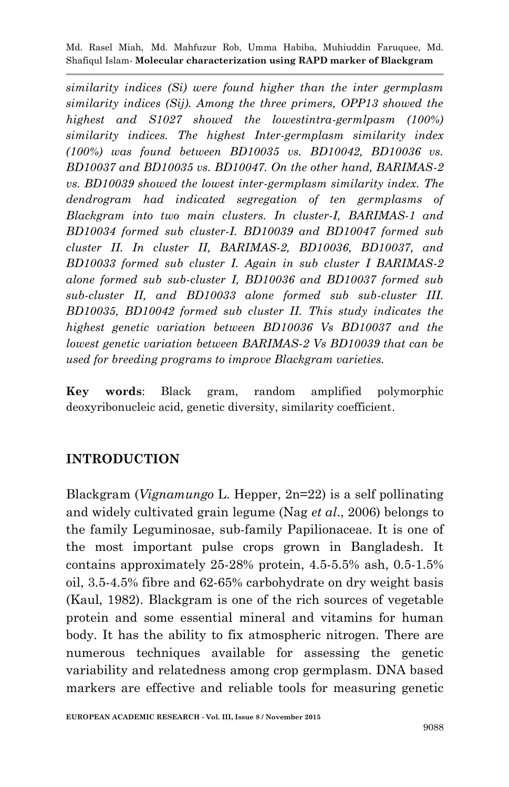*similarity indices (Si) were found higher than the inter germplasm similarity indices (Sij). Among the three primers, OPP13 showed the highest and S1027 showed the lowestintra-germlpasm (100%) similarity indices. The highest Inter-germplasm similarity index (100%) was found between BD10035 vs. BD10042, BD10036 vs. BD10037 and BD10035 vs. BD10047. On the other hand, BARIMAS-2 vs. BD10039 showed the lowest inter-germplasm similarity index. The dendrogram had indicated segregation of ten germplasms of Blackgram into two main clusters. In cluster-I, BARIMAS-1 and BD10034 formed sub cluster-I. BD10039 and BD10047 formed sub cluster II. In cluster II, BARIMAS-2, BD10036, BD10037, and BD10033 formed sub cluster I. Again in sub cluster I BARIMAS-2 alone formed sub sub-cluster I, BD10036 and BD10037 formed sub sub-cluster II, and BD10033 alone formed sub sub-cluster III. BD10035, BD10042 formed sub cluster II. This study indicates the highest genetic variation between BD10036 Vs BD10037 and the lowest genetic variation between BARIMAS-2 Vs BD10039 that can be used for breeding programs to improve Blackgram varieties.*

**Key words**: Black gram, random amplified polymorphic deoxyribonucleic acid, genetic diversity, similarity coefficient.

## **INTRODUCTION**

Blackgram (*Vignamungo* L. Hepper, 2n=22) is a self pollinating and widely cultivated grain legume (Nag *et al*., 2006) belongs to the family Leguminosae, sub-family Papilionaceae. It is one of the most important pulse crops grown in Bangladesh. It contains approximately 25-28% protein, 4.5-5.5% ash, 0.5-1.5% oil, 3.5-4.5% fibre and 62-65% carbohydrate on dry weight basis (Kaul, 1982). Blackgram is one of the rich sources of vegetable protein and some essential mineral and vitamins for human body. It has the ability to fix atmospheric nitrogen. There are numerous techniques available for assessing the genetic variability and relatedness among crop germplasm. DNA based markers are effective and reliable tools for measuring genetic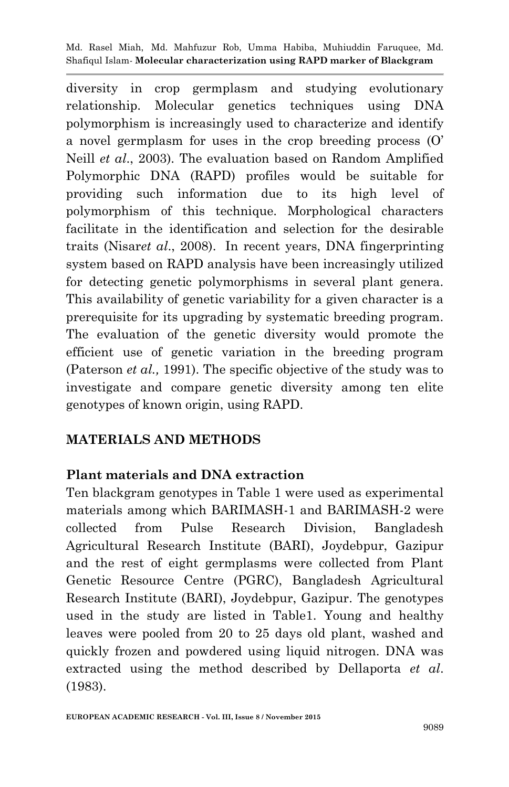diversity in crop germplasm and studying evolutionary relationship. Molecular genetics techniques using DNA polymorphism is increasingly used to characterize and identify a novel germplasm for uses in the crop breeding process (O' Neill *et al*., 2003). The evaluation based on Random Amplified Polymorphic DNA (RAPD) profiles would be suitable for providing such information due to its high level of polymorphism of this technique. Morphological characters facilitate in the identification and selection for the desirable traits (Nisar*et al*., 2008). In recent years, DNA fingerprinting system based on RAPD analysis have been increasingly utilized for detecting genetic polymorphisms in several plant genera. This availability of genetic variability for a given character is a prerequisite for its upgrading by systematic breeding program. The evaluation of the genetic diversity would promote the efficient use of genetic variation in the breeding program (Paterson *et al.,* 1991). The specific objective of the study was to investigate and compare genetic diversity among ten elite genotypes of known origin, using RAPD.

## **MATERIALS AND METHODS**

## **Plant materials and DNA extraction**

Ten blackgram genotypes in Table 1 were used as experimental materials among which BARIMASH-1 and BARIMASH-2 were collected from Pulse Research Division, Bangladesh Agricultural Research Institute (BARI), Joydebpur, Gazipur and the rest of eight germplasms were collected from Plant Genetic Resource Centre (PGRC), Bangladesh Agricultural Research Institute (BARI), Joydebpur, Gazipur. The genotypes used in the study are listed in Table1. Young and healthy leaves were pooled from 20 to 25 days old plant, washed and quickly frozen and powdered using liquid nitrogen. DNA was extracted using the method described by Dellaporta *et al*. (1983).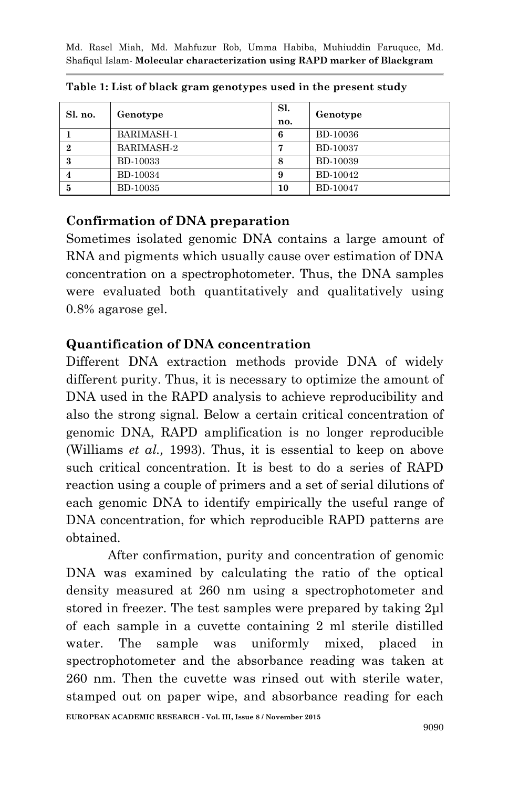| Sl. no.          | Genotype          | Sl.<br>no. | Genotype        |
|------------------|-------------------|------------|-----------------|
|                  | <b>BARIMASH-1</b> | 6          | BD-10036        |
| $\boldsymbol{2}$ | BARIMASH-2        | 7          | <b>BD-10037</b> |
| 3                | <b>BD-10033</b>   | 8          | BD-10039        |
|                  | <b>BD-10034</b>   | 9          | BD-10042        |
| 5                | <b>BD-10035</b>   | 10         | <b>BD-10047</b> |

**Table 1: List of black gram genotypes used in the present study**

### **Confirmation of DNA preparation**

Sometimes isolated genomic DNA contains a large amount of RNA and pigments which usually cause over estimation of DNA concentration on a spectrophotometer. Thus, the DNA samples were evaluated both quantitatively and qualitatively using 0.8% agarose gel.

### **Quantification of DNA concentration**

Different DNA extraction methods provide DNA of widely different purity. Thus, it is necessary to optimize the amount of DNA used in the RAPD analysis to achieve reproducibility and also the strong signal. Below a certain critical concentration of genomic DNA, RAPD amplification is no longer reproducible (Williams *et al.,* 1993). Thus, it is essential to keep on above such critical concentration. It is best to do a series of RAPD reaction using a couple of primers and a set of serial dilutions of each genomic DNA to identify empirically the useful range of DNA concentration, for which reproducible RAPD patterns are obtained.

After confirmation, purity and concentration of genomic DNA was examined by calculating the ratio of the optical density measured at 260 nm using a spectrophotometer and stored in freezer. The test samples were prepared by taking 2μl of each sample in a cuvette containing 2 ml sterile distilled water. The sample was uniformly mixed, placed in spectrophotometer and the absorbance reading was taken at 260 nm. Then the cuvette was rinsed out with sterile water, stamped out on paper wipe, and absorbance reading for each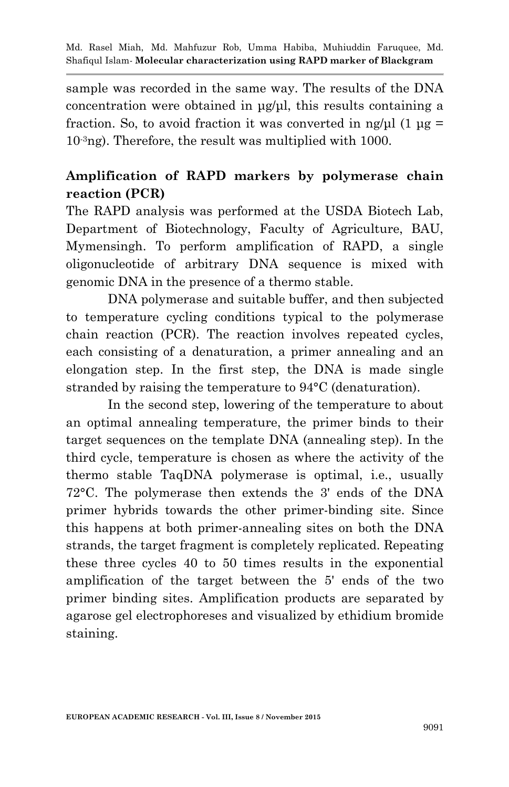sample was recorded in the same way. The results of the DNA concentration were obtained in μg/μl, this results containing a fraction. So, to avoid fraction it was converted in ng/μl  $(1 \mu g =$ 10-3ng). Therefore, the result was multiplied with 1000.

# **Amplification of RAPD markers by polymerase chain reaction (PCR)**

The RAPD analysis was performed at the USDA Biotech Lab, Department of Biotechnology, Faculty of Agriculture, BAU, Mymensingh. To perform amplification of RAPD, a single oligonucleotide of arbitrary DNA sequence is mixed with genomic DNA in the presence of a thermo stable.

DNA polymerase and suitable buffer, and then subjected to temperature cycling conditions typical to the polymerase chain reaction (PCR). The reaction involves repeated cycles, each consisting of a denaturation, a primer annealing and an elongation step. In the first step, the DNA is made single stranded by raising the temperature to 94°C (denaturation).

In the second step, lowering of the temperature to about an optimal annealing temperature, the primer binds to their target sequences on the template DNA (annealing step). In the third cycle, temperature is chosen as where the activity of the thermo stable TaqDNA polymerase is optimal, i.e., usually 72°C. The polymerase then extends the 3' ends of the DNA primer hybrids towards the other primer-binding site. Since this happens at both primer-annealing sites on both the DNA strands, the target fragment is completely replicated. Repeating these three cycles 40 to 50 times results in the exponential amplification of the target between the 5' ends of the two primer binding sites. Amplification products are separated by agarose gel electrophoreses and visualized by ethidium bromide staining.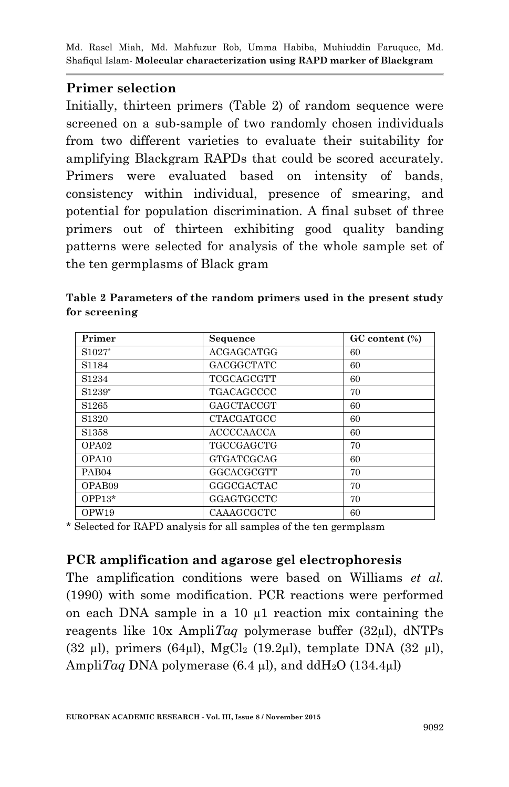### **Primer selection**

Initially, thirteen primers (Table 2) of random sequence were screened on a sub-sample of two randomly chosen individuals from two different varieties to evaluate their suitability for amplifying Blackgram RAPDs that could be scored accurately. Primers were evaluated based on intensity of bands, consistency within individual, presence of smearing, and potential for population discrimination. A final subset of three primers out of thirteen exhibiting good quality banding patterns were selected for analysis of the whole sample set of the ten germplasms of Black gram

| Primer                         | Sequence          | GC content (%) |
|--------------------------------|-------------------|----------------|
| S <sub>1027</sub> <sup>*</sup> | ACGAGCATGG        | 60             |
| S <sub>1184</sub>              | <b>GACGGCTATC</b> | 60             |
| S <sub>1234</sub>              | <b>TCGCAGCGTT</b> | 60             |
| S1239*                         | TGACAGCCCC        | 70             |
| S <sub>1265</sub>              | GAGCTACCGT        | 60             |
| S <sub>1320</sub>              | <b>CTACGATGCC</b> | 60             |
| S <sub>1358</sub>              | <b>ACCCCAACCA</b> | 60             |
| OPA <sub>02</sub>              | TGCCGAGCTG        | 70             |
| OPA <sub>10</sub>              | <b>GTGATCGCAG</b> | 60             |
| PAB <sub>04</sub>              | GGCACGCGTT        | 70             |
| OPAB09                         | GGGCGACTAC        | 70             |
| $OPP13*$                       | GGAGTGCCTC        | 70             |
| OPW19                          | CAAAGCGCTC        | 60             |

**Table 2 Parameters of the random primers used in the present study for screening**

\* Selected for RAPD analysis for all samples of the ten germplasm

### **PCR amplification and agarose gel electrophoresis**

The amplification conditions were based on Williams *et al.*  (1990) with some modification. PCR reactions were performed on each DNA sample in a 10 µ1 reaction mix containing the reagents like 10x Ampli*Taq* polymerase buffer (32µl), dNTPs (32 µl), primers (64µl), MgCl<sub>2</sub> (19.2µl), template DNA (32 µl), Ampli*Taq* DNA polymerase  $(6.4 \mu l)$ , and ddH<sub>2</sub>O  $(134.4 \mu l)$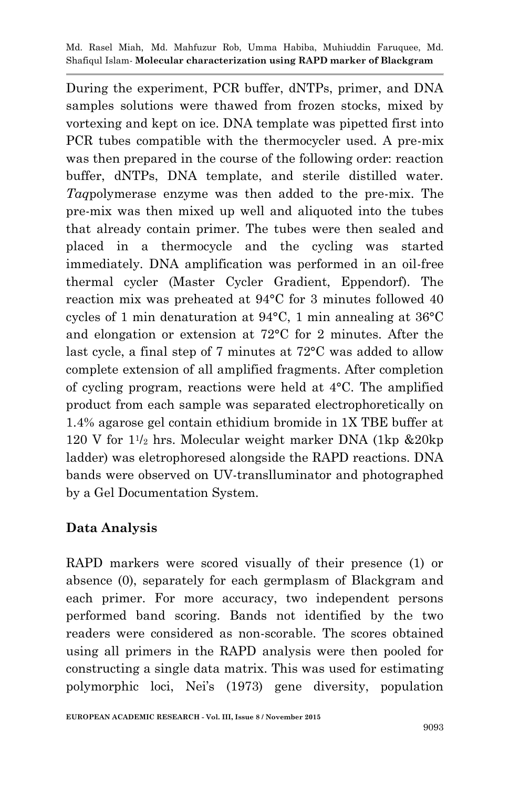During the experiment, PCR buffer, dNTPs, primer, and DNA samples solutions were thawed from frozen stocks, mixed by vortexing and kept on ice. DNA template was pipetted first into PCR tubes compatible with the thermocycler used. A pre-mix was then prepared in the course of the following order: reaction buffer, dNTPs, DNA template, and sterile distilled water. *Taq*polymerase enzyme was then added to the pre-mix. The pre-mix was then mixed up well and aliquoted into the tubes that already contain primer. The tubes were then sealed and placed in a thermocycle and the cycling was started immediately. DNA amplification was performed in an oil-free thermal cycler (Master Cycler Gradient, Eppendorf). The reaction mix was preheated at 94°C for 3 minutes followed 40 cycles of 1 min denaturation at 94°C, 1 min annealing at 36°C and elongation or extension at 72°C for 2 minutes. After the last cycle, a final step of 7 minutes at 72°C was added to allow complete extension of all amplified fragments. After completion of cycling program, reactions were held at 4°C. The amplified product from each sample was separated electrophoretically on 1.4% agarose gel contain ethidium bromide in 1X TBE buffer at 120 V for 1<sup>1</sup> /<sup>2</sup> hrs. Molecular weight marker DNA (1kp &20kp ladder) was eletrophoresed alongside the RAPD reactions. DNA bands were observed on UV-translluminator and photographed by a Gel Documentation System.

### **Data Analysis**

RAPD markers were scored visually of their presence (1) or absence (0), separately for each germplasm of Blackgram and each primer. For more accuracy, two independent persons performed band scoring. Bands not identified by the two readers were considered as non-scorable. The scores obtained using all primers in the RAPD analysis were then pooled for constructing a single data matrix. This was used for estimating polymorphic loci, Nei's (1973) gene diversity, population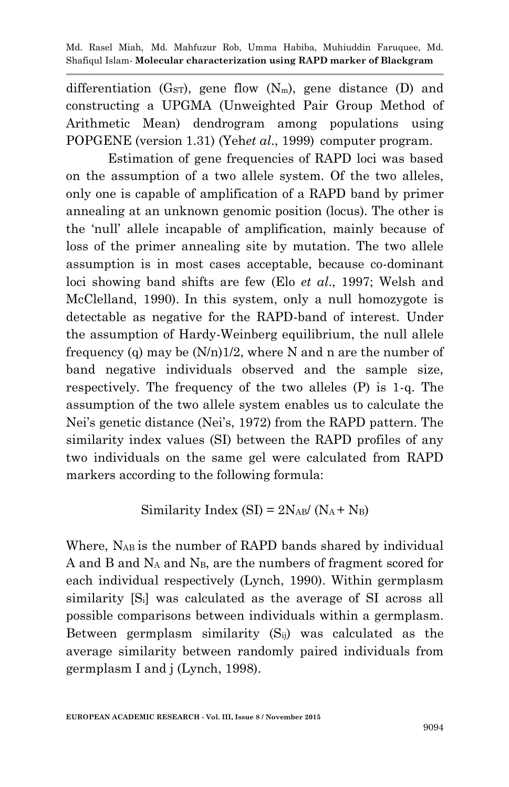differentiation  $(G_{ST})$ , gene flow  $(N_m)$ , gene distance (D) and constructing a UPGMA (Unweighted Pair Group Method of Arithmetic Mean) dendrogram among populations using POPGENE (version 1.31) (Yeh*et al*., 1999) computer program.

Estimation of gene frequencies of RAPD loci was based on the assumption of a two allele system. Of the two alleles, only one is capable of amplification of a RAPD band by primer annealing at an unknown genomic position (locus). The other is the 'null' allele incapable of amplification, mainly because of loss of the primer annealing site by mutation. The two allele assumption is in most cases acceptable, because co-dominant loci showing band shifts are few (Elo *et al*., 1997; Welsh and McClelland, 1990). In this system, only a null homozygote is detectable as negative for the RAPD-band of interest. Under the assumption of Hardy-Weinberg equilibrium, the null allele frequency (q) may be  $(N/n)1/2$ , where N and n are the number of band negative individuals observed and the sample size, respectively. The frequency of the two alleles (P) is 1-q. The assumption of the two allele system enables us to calculate the Nei's genetic distance (Nei's, 1972) from the RAPD pattern. The similarity index values (SI) between the RAPD profiles of any two individuals on the same gel were calculated from RAPD markers according to the following formula:

Similarity Index (SI) = 
$$
2N_{AB}/(N_A + N_B)
$$

Where, NAB is the number of RAPD bands shared by individual A and B and  $N_A$  and  $N_B$ , are the numbers of fragment scored for each individual respectively (Lynch, 1990). Within germplasm similarity [Si] was calculated as the average of SI across all possible comparisons between individuals within a germplasm. Between germplasm similarity  $(S_{ii})$  was calculated as the average similarity between randomly paired individuals from germplasm I and j (Lynch, 1998).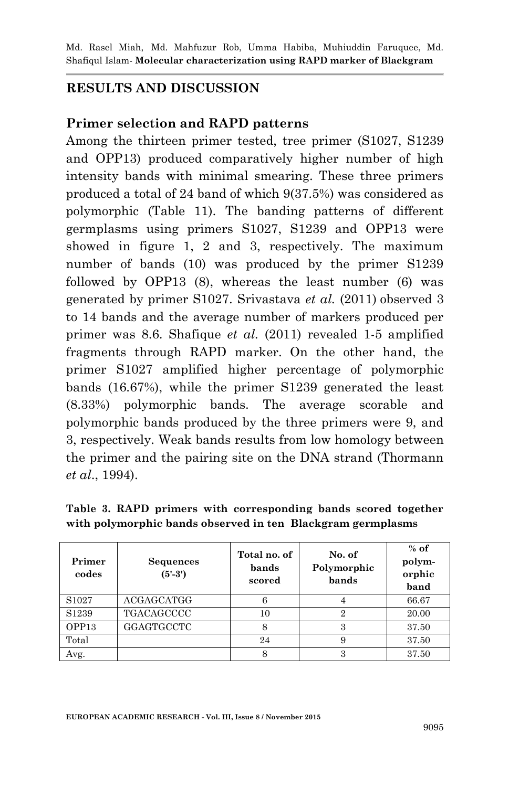### **RESULTS AND DISCUSSION**

#### **Primer selection and RAPD patterns**

Among the thirteen primer tested, tree primer (S1027, S1239 and OPP13) produced comparatively higher number of high intensity bands with minimal smearing. These three primers produced a total of 24 band of which 9(37.5%) was considered as polymorphic (Table 11). The banding patterns of different germplasms using primers S1027, S1239 and OPP13 were showed in figure 1, 2 and 3, respectively. The maximum number of bands (10) was produced by the primer S1239 followed by OPP13 (8), whereas the least number (6) was generated by primer S1027. Srivastava *et al.* (2011) observed 3 to 14 bands and the average number of markers produced per primer was 8.6. Shafique *et al.* (2011) revealed 1-5 amplified fragments through RAPD marker. On the other hand, the primer S1027 amplified higher percentage of polymorphic bands (16.67%), while the primer S1239 generated the least (8.33%) polymorphic bands. The average scorable and polymorphic bands produced by the three primers were 9, and 3, respectively. Weak bands results from low homology between the primer and the pairing site on the DNA strand (Thormann *et al*., 1994).

| Primer<br>codes   | <b>Sequences</b><br>$(5' - 3')$ | Total no. of<br>bands<br>scored | No. of<br>Polymorphic<br>bands | $%$ of<br>polym-<br>orphic<br>band |
|-------------------|---------------------------------|---------------------------------|--------------------------------|------------------------------------|
| S <sub>1027</sub> | <b>ACGAGCATGG</b>               |                                 |                                | 66.67                              |
| S1239             | <b>TGACAGCCCC</b>               | 10                              | 2                              | 20.00                              |
| OPP13             | GGAGTGCCTC                      | 8                               | 3                              | 37.50                              |
| Total             |                                 | 24                              | 9                              | 37.50                              |

Avg.  $\begin{array}{|c|c|c|c|c|c|c|c|} \hline \end{array}$  8  $\begin{array}{|c|c|c|c|c|} \hline \end{array}$  37.50

**Table 3. RAPD primers with corresponding bands scored together with polymorphic bands observed in ten Blackgram germplasms**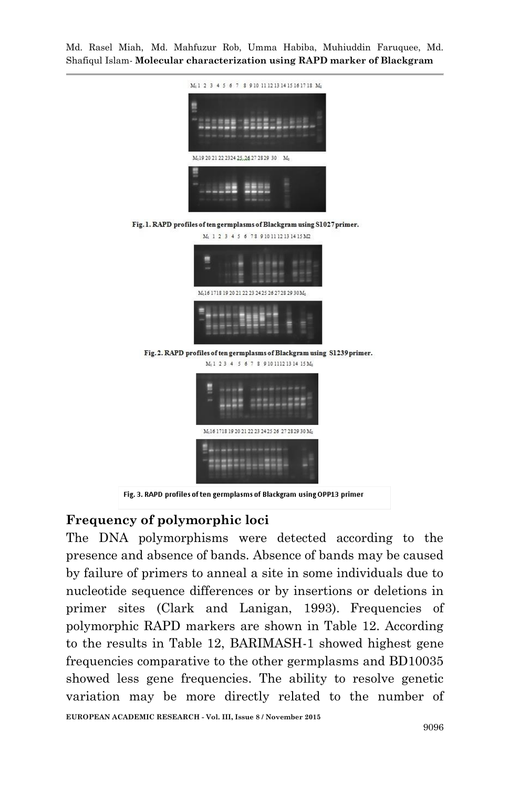

Fig. 3. RAPD profiles of ten germplasms of Blackgram using OPP13 primer

## **Frequency of polymorphic loci**

The DNA polymorphisms were detected according to the presence and absence of bands. Absence of bands may be caused by failure of primers to anneal a site in some individuals due to nucleotide sequence differences or by insertions or deletions in primer sites (Clark and Lanigan, 1993). Frequencies of polymorphic RAPD markers are shown in Table 12. According to the results in Table 12, BARIMASH-1 showed highest gene frequencies comparative to the other germplasms and BD10035 showed less gene frequencies. The ability to resolve genetic variation may be more directly related to the number of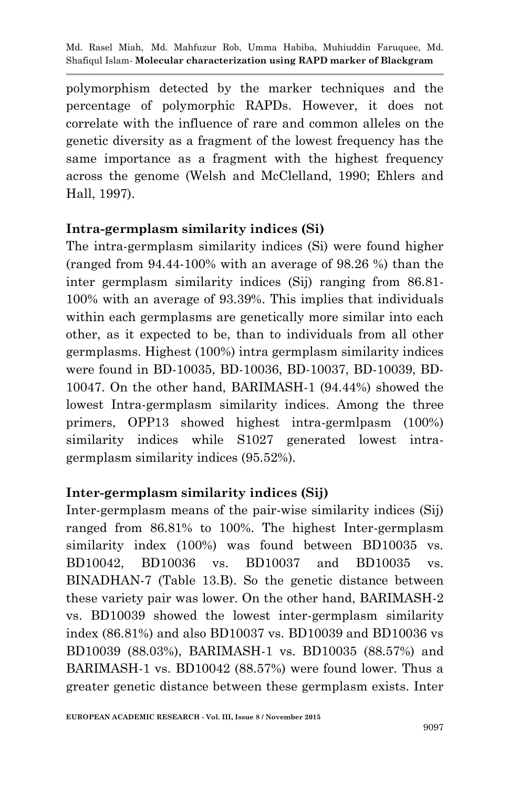polymorphism detected by the marker techniques and the percentage of polymorphic RAPDs. However, it does not correlate with the influence of rare and common alleles on the genetic diversity as a fragment of the lowest frequency has the same importance as a fragment with the highest frequency across the genome (Welsh and McClelland, 1990; Ehlers and Hall, 1997).

### **Intra-germplasm similarity indices (Si)**

The intra-germplasm similarity indices (Si) were found higher (ranged from 94.44-100% with an average of 98.26 %) than the inter germplasm similarity indices (Sij) ranging from 86.81- 100% with an average of 93.39%. This implies that individuals within each germplasms are genetically more similar into each other, as it expected to be, than to individuals from all other germplasms. Highest (100%) intra germplasm similarity indices were found in BD-10035, BD-10036, BD-10037, BD-10039, BD-10047. On the other hand, BARIMASH-1 (94.44%) showed the lowest Intra-germplasm similarity indices. Among the three primers, OPP13 showed highest intra-germlpasm (100%) similarity indices while S1027 generated lowest intragermplasm similarity indices (95.52%).

## **Inter-germplasm similarity indices (Sij)**

Inter-germplasm means of the pair-wise similarity indices (Sij) ranged from 86.81% to 100%. The highest Inter-germplasm similarity index (100%) was found between BD10035 vs. BD10042, BD10036 vs. BD10037 and BD10035 vs. BINADHAN-7 (Table 13.B). So the genetic distance between these variety pair was lower. On the other hand, BARIMASH-2 vs. BD10039 showed the lowest inter-germplasm similarity index (86.81%) and also BD10037 vs. BD10039 and BD10036 vs BD10039 (88.03%), BARIMASH-1 vs. BD10035 (88.57%) and BARIMASH-1 vs. BD10042 (88.57%) were found lower. Thus a greater genetic distance between these germplasm exists. Inter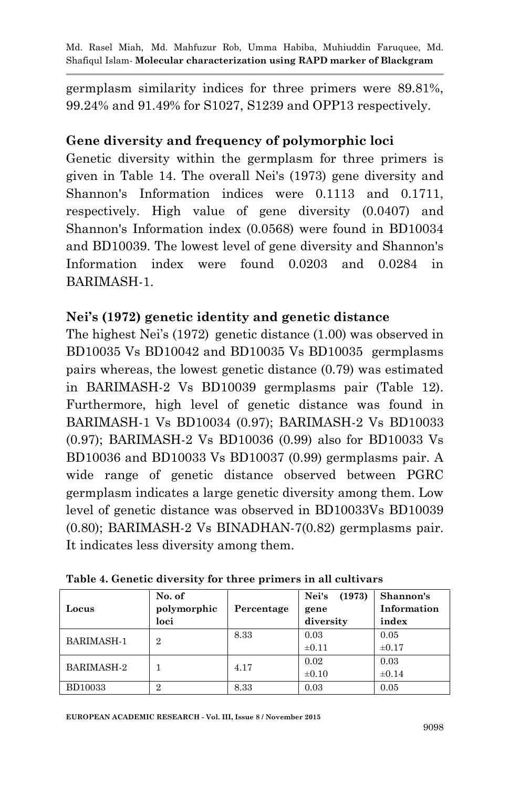germplasm similarity indices for three primers were 89.81%, 99.24% and 91.49% for S1027, S1239 and OPP13 respectively.

# **Gene diversity and frequency of polymorphic loci**

Genetic diversity within the germplasm for three primers is given in Table 14. The overall Nei's (1973) gene diversity and Shannon's Information indices were 0.1113 and 0.1711, respectively. High value of gene diversity (0.0407) and Shannon's Information index (0.0568) were found in BD10034 and BD10039. The lowest level of gene diversity and Shannon's Information index were found 0.0203 and 0.0284 in BARIMASH-1.

# **Nei's (1972) genetic identity and genetic distance**

The highest Nei's (1972) genetic distance (1.00) was observed in BD10035 Vs BD10042 and BD10035 Vs BD10035 germplasms pairs whereas, the lowest genetic distance (0.79) was estimated in BARIMASH-2 Vs BD10039 germplasms pair (Table 12). Furthermore, high level of genetic distance was found in BARIMASH-1 Vs BD10034 (0.97); BARIMASH-2 Vs BD10033 (0.97); BARIMASH-2 Vs BD10036 (0.99) also for BD10033 Vs BD10036 and BD10033 Vs BD10037 (0.99) germplasms pair. A wide range of genetic distance observed between PGRC germplasm indicates a large genetic diversity among them. Low level of genetic distance was observed in BD10033Vs BD10039 (0.80); BARIMASH-2 Vs BINADHAN-7(0.82) germplasms pair. It indicates less diversity among them.

| Locus             | No. of<br>polymorphic<br>loci | Percentage | Nei's<br>(1973)<br>gene<br>diversity | Shannon's<br>Information<br>index |
|-------------------|-------------------------------|------------|--------------------------------------|-----------------------------------|
| <b>BARIMASH-1</b> | $\overline{2}$                | 8.33       | 0.03<br>$\pm 0.11$                   | 0.05<br>$\pm 0.17$                |
| <b>BARIMASH-2</b> |                               | 4.17       | 0.02<br>$\pm 0.10$                   | 0.03<br>$\pm 0.14$                |
| <b>BD10033</b>    | റ                             | 8.33       | 0.03                                 | 0.05                              |

**Table 4. Genetic diversity for three primers in all cultivars**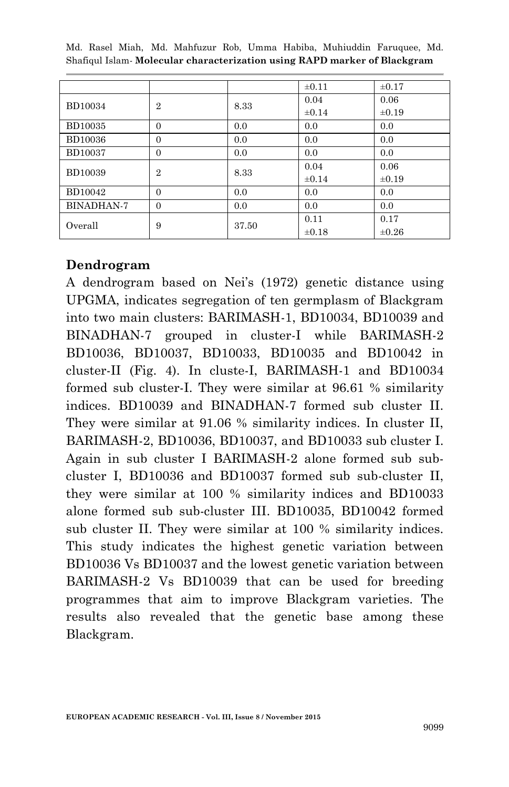|                |                |       | $\pm 0.11$ | $\pm 0.17$ |
|----------------|----------------|-------|------------|------------|
| <b>BD10034</b> | $\overline{2}$ | 8.33  | 0.04       | 0.06       |
|                |                |       | $\pm 0.14$ | $\pm 0.19$ |
| <b>BD10035</b> | $\Omega$       | 0.0   | 0.0        | 0.0        |
| <b>BD10036</b> | $\overline{0}$ | 0.0   | 0.0        | 0.0        |
| <b>BD10037</b> | $\Omega$       | 0.0   | 0.0        | 0.0        |
| <b>BD10039</b> | $\overline{2}$ | 8.33  | 0.04       | 0.06       |
|                |                |       | $\pm 0.14$ | $\pm 0.19$ |
| BD10042        | $\Omega$       | 0.0   | 0.0        | 0.0        |
| BINADHAN-7     | $\Omega$       | 0.0   | 0.0        | 0.0        |
| Overall        | 9              | 37.50 | 0.11       | 0.17       |
|                |                |       | $\pm 0.18$ | $\pm 0.26$ |

#### **Dendrogram**

A dendrogram based on Nei's (1972) genetic distance using UPGMA, indicates segregation of ten germplasm of Blackgram into two main clusters: BARIMASH-1, BD10034, BD10039 and BINADHAN-7 grouped in cluster-I while BARIMASH-2 BD10036, BD10037, BD10033, BD10035 and BD10042 in cluster-II (Fig. 4). In cluste-I, BARIMASH-1 and BD10034 formed sub cluster-I. They were similar at 96.61 % similarity indices. BD10039 and BINADHAN-7 formed sub cluster II. They were similar at 91.06 % similarity indices. In cluster II, BARIMASH-2, BD10036, BD10037, and BD10033 sub cluster I. Again in sub cluster I BARIMASH-2 alone formed sub subcluster I, BD10036 and BD10037 formed sub sub-cluster II, they were similar at 100 % similarity indices and BD10033 alone formed sub sub-cluster III. BD10035, BD10042 formed sub cluster II. They were similar at 100 % similarity indices. This study indicates the highest genetic variation between BD10036 Vs BD10037 and the lowest genetic variation between BARIMASH-2 Vs BD10039 that can be used for breeding programmes that aim to improve Blackgram varieties. The results also revealed that the genetic base among these Blackgram.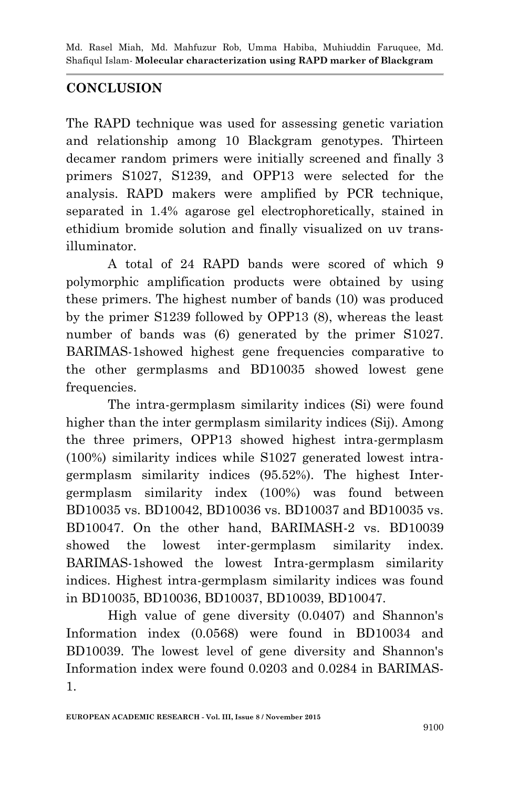# **CONCLUSION**

The RAPD technique was used for assessing genetic variation and relationship among 10 Blackgram genotypes. Thirteen decamer random primers were initially screened and finally 3 primers S1027, S1239, and OPP13 were selected for the analysis. RAPD makers were amplified by PCR technique, separated in 1.4% agarose gel electrophoretically, stained in ethidium bromide solution and finally visualized on uv transilluminator.

A total of 24 RAPD bands were scored of which 9 polymorphic amplification products were obtained by using these primers. The highest number of bands (10) was produced by the primer S1239 followed by OPP13 (8), whereas the least number of bands was  $(6)$  generated by the primer S1027. BARIMAS-1showed highest gene frequencies comparative to the other germplasms and BD10035 showed lowest gene frequencies.

The intra-germplasm similarity indices (Si) were found higher than the inter germplasm similarity indices (Sij). Among the three primers, OPP13 showed highest intra-germplasm (100%) similarity indices while S1027 generated lowest intragermplasm similarity indices (95.52%). The highest Intergermplasm similarity index (100%) was found between BD10035 vs. BD10042, BD10036 vs. BD10037 and BD10035 vs. BD10047. On the other hand, BARIMASH-2 vs. BD10039 showed the lowest inter-germplasm similarity index. BARIMAS-1showed the lowest Intra-germplasm similarity indices. Highest intra-germplasm similarity indices was found in BD10035, BD10036, BD10037, BD10039, BD10047.

High value of gene diversity (0.0407) and Shannon's Information index (0.0568) were found in BD10034 and BD10039. The lowest level of gene diversity and Shannon's Information index were found 0.0203 and 0.0284 in BARIMAS-1.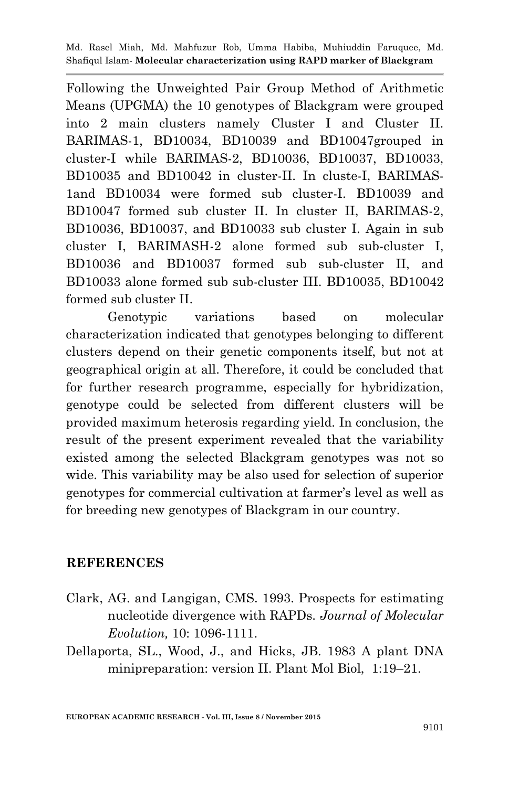Following the Unweighted Pair Group Method of Arithmetic Means (UPGMA) the 10 genotypes of Blackgram were grouped into 2 main clusters namely Cluster I and Cluster II. BARIMAS-1, BD10034, BD10039 and BD10047grouped in cluster-I while BARIMAS-2, BD10036, BD10037, BD10033, BD10035 and BD10042 in cluster-II. In cluste-I, BARIMAS-1and BD10034 were formed sub cluster-I. BD10039 and BD10047 formed sub cluster II. In cluster II, BARIMAS-2, BD10036, BD10037, and BD10033 sub cluster I. Again in sub cluster I, BARIMASH-2 alone formed sub sub-cluster I, BD10036 and BD10037 formed sub sub-cluster II, and BD10033 alone formed sub sub-cluster III. BD10035, BD10042 formed sub cluster II.

Genotypic variations based on molecular characterization indicated that genotypes belonging to different clusters depend on their genetic components itself, but not at geographical origin at all. Therefore, it could be concluded that for further research programme, especially for hybridization, genotype could be selected from different clusters will be provided maximum heterosis regarding yield. In conclusion, the result of the present experiment revealed that the variability existed among the selected Blackgram genotypes was not so wide. This variability may be also used for selection of superior genotypes for commercial cultivation at farmer's level as well as for breeding new genotypes of Blackgram in our country.

### **REFERENCES**

- Clark, AG. and Langigan, CMS. 1993. Prospects for estimating nucleotide divergence with RAPDs. *Journal of Molecular Evolution,* 10: 1096-1111.
- Dellaporta, SL., Wood, J., and Hicks, JB. 1983 A plant DNA minipreparation: version II. Plant Mol Biol, 1:19–21.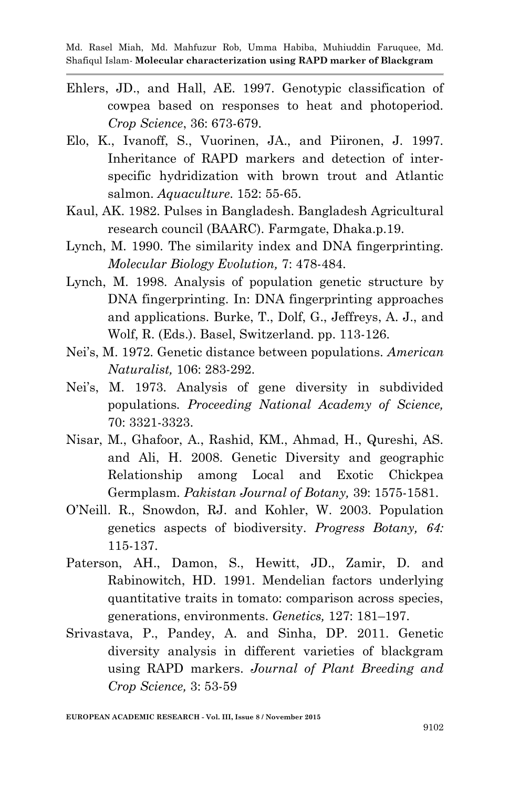- Ehlers, JD., and Hall, AE. 1997. Genotypic classification of cowpea based on responses to heat and photoperiod. *Crop Science*, 36: 673-679.
- Elo, K., Ivanoff, S., Vuorinen, JA., and Piironen, J. 1997. Inheritance of RAPD markers and detection of interspecific hydridization with brown trout and Atlantic salmon. *Aquaculture*. 152: 55-65.
- Kaul, AK. 1982. Pulses in Bangladesh. Bangladesh Agricultural research council (BAARC). Farmgate, Dhaka.p.19.
- Lynch, M. 1990. The similarity index and DNA fingerprinting. *Molecular Biology Evolution,* 7: 478-484.
- Lynch, M. 1998. Analysis of population genetic structure by DNA fingerprinting. In: DNA fingerprinting approaches and applications. Burke, T., Dolf, G., Jeffreys, A. J., and Wolf, R. (Eds.). Basel, Switzerland. pp. 113-126.
- Nei's, M. 1972. Genetic distance between populations. *American Naturalist,* 106: 283-292.
- Nei's, M. 1973. Analysis of gene diversity in subdivided populations*. Proceeding National Academy of Science,* 70: 3321-3323.
- Nisar, M., Ghafoor, A., Rashid, KM., Ahmad, H., Qureshi, AS. and Ali, H. 2008. Genetic Diversity and geographic Relationship among Local and Exotic Chickpea Germplasm. *Pakistan Journal of Botany,* 39: 1575-1581.
- O'Neill. R., Snowdon, RJ. and Kohler, W. 2003. Population genetics aspects of biodiversity. *Progress Botany, 64:*  115-137.
- Paterson, AH., Damon, S., Hewitt, JD., Zamir, D. and Rabinowitch, HD. 1991. Mendelian factors underlying quantitative traits in tomato: comparison across species, generations, environments. *Genetics,* 127: 181–197.
- Srivastava, P., Pandey, A. and Sinha, DP. 2011. Genetic diversity analysis in different varieties of blackgram using RAPD markers. *Journal of Plant Breeding and Crop Science,* 3: 53-59